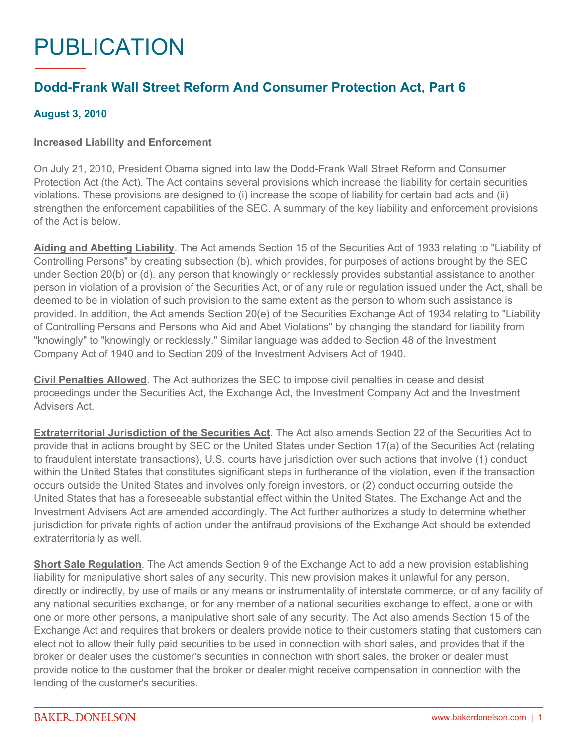## PUBLICATION

## **Dodd-Frank Wall Street Reform And Consumer Protection Act, Part 6**

## **August 3, 2010**

## **Increased Liability and Enforcement**

On July 21, 2010, President Obama signed into law the Dodd-Frank Wall Street Reform and Consumer Protection Act (the Act). The Act contains several provisions which increase the liability for certain securities violations. These provisions are designed to (i) increase the scope of liability for certain bad acts and (ii) strengthen the enforcement capabilities of the SEC. A summary of the key liability and enforcement provisions of the Act is below.

**Aiding and Abetting Liability**. The Act amends Section 15 of the Securities Act of 1933 relating to "Liability of Controlling Persons" by creating subsection (b), which provides, for purposes of actions brought by the SEC under Section 20(b) or (d), any person that knowingly or recklessly provides substantial assistance to another person in violation of a provision of the Securities Act, or of any rule or regulation issued under the Act, shall be deemed to be in violation of such provision to the same extent as the person to whom such assistance is provided. In addition, the Act amends Section 20(e) of the Securities Exchange Act of 1934 relating to "Liability of Controlling Persons and Persons who Aid and Abet Violations" by changing the standard for liability from "knowingly" to "knowingly or recklessly." Similar language was added to Section 48 of the Investment Company Act of 1940 and to Section 209 of the Investment Advisers Act of 1940.

**Civil Penalties Allowed**. The Act authorizes the SEC to impose civil penalties in cease and desist proceedings under the Securities Act, the Exchange Act, the Investment Company Act and the Investment Advisers Act.

**Extraterritorial Jurisdiction of the Securities Act**. The Act also amends Section 22 of the Securities Act to provide that in actions brought by SEC or the United States under Section 17(a) of the Securities Act (relating to fraudulent interstate transactions), U.S. courts have jurisdiction over such actions that involve (1) conduct within the United States that constitutes significant steps in furtherance of the violation, even if the transaction occurs outside the United States and involves only foreign investors, or (2) conduct occurring outside the United States that has a foreseeable substantial effect within the United States. The Exchange Act and the Investment Advisers Act are amended accordingly. The Act further authorizes a study to determine whether jurisdiction for private rights of action under the antifraud provisions of the Exchange Act should be extended extraterritorially as well.

**Short Sale Regulation**. The Act amends Section 9 of the Exchange Act to add a new provision establishing liability for manipulative short sales of any security. This new provision makes it unlawful for any person, directly or indirectly, by use of mails or any means or instrumentality of interstate commerce, or of any facility of any national securities exchange, or for any member of a national securities exchange to effect, alone or with one or more other persons, a manipulative short sale of any security. The Act also amends Section 15 of the Exchange Act and requires that brokers or dealers provide notice to their customers stating that customers can elect not to allow their fully paid securities to be used in connection with short sales, and provides that if the broker or dealer uses the customer's securities in connection with short sales, the broker or dealer must provide notice to the customer that the broker or dealer might receive compensation in connection with the lending of the customer's securities.